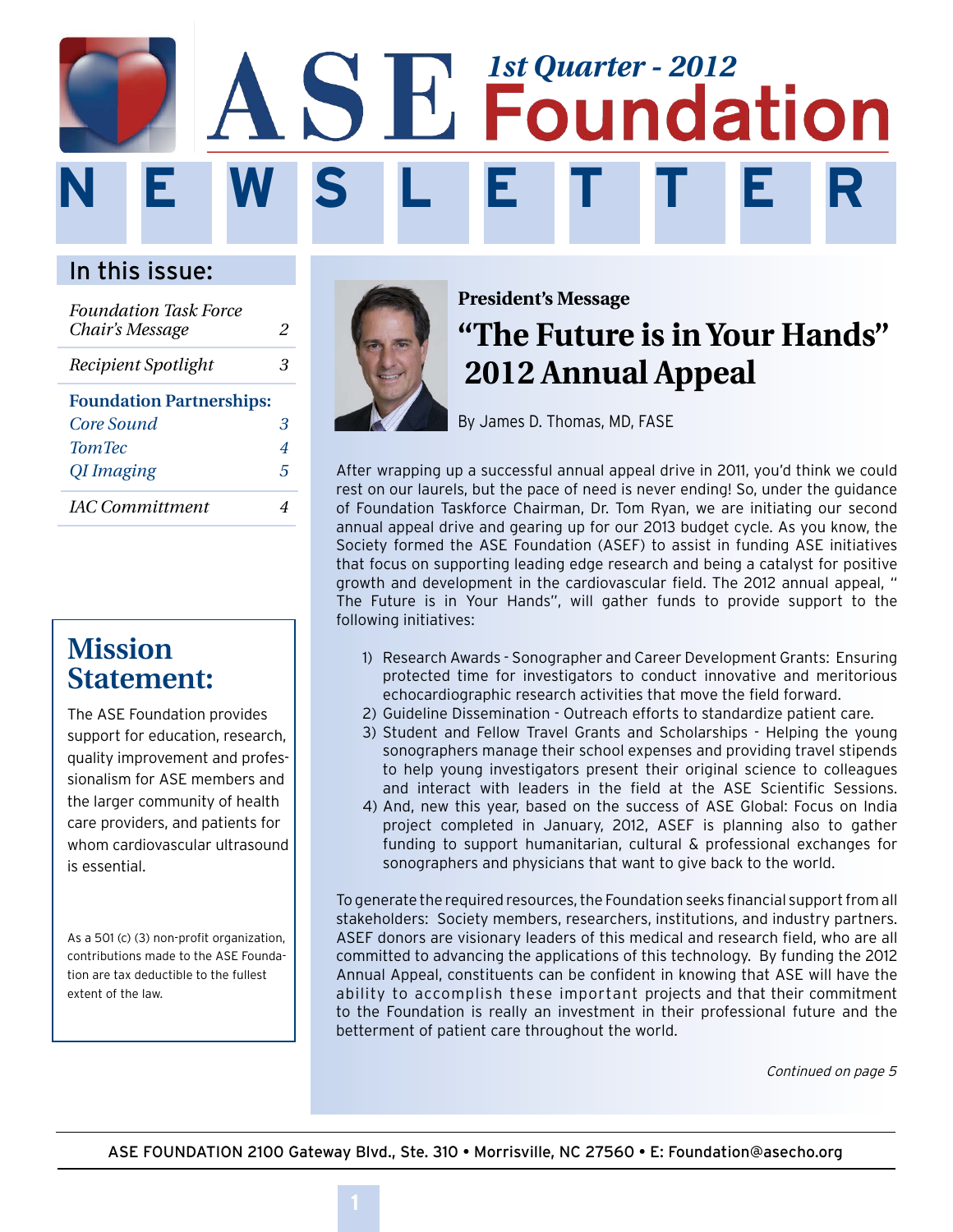# **N E W S L E T T E R SE Foundation**

## In this issue:

| <b>Foundation Task Force</b><br>Chair's Message | 2 |
|-------------------------------------------------|---|
| Recipient Spotlight                             | З |
| <b>Foundation Partnerships:</b>                 |   |
| Core Sound                                      | З |
| <b>TomTec</b>                                   | 4 |
| QI Imaging                                      | 5 |
| <b>IAC</b> Committment                          |   |

## **Mission Statement:**

The ASE Foundation provides support for education, research, quality improvement and professionalism for ASE members and the larger community of health care providers, and patients for whom cardiovascular ultrasound is essential.

As a 501 (c) (3) non-profit organization, contributions made to the ASE Foundation are tax deductible to the fullest extent of the law.



# **"The Future is in Your Hands" 2012 Annual Appeal President's Message**

By James D. Thomas, MD, FASE

After wrapping up a successful annual appeal drive in 2011, you'd think we could rest on our laurels, but the pace of need is never ending! So, under the guidance of Foundation Taskforce Chairman, Dr. Tom Ryan, we are initiating our second annual appeal drive and gearing up for our 2013 budget cycle. As you know, the Society formed the ASE Foundation (ASEF) to assist in funding ASE initiatives that focus on supporting leading edge research and being a catalyst for positive growth and development in the cardiovascular field. The 2012 annual appeal, " The Future is in Your Hands", will gather funds to provide support to the following initiatives:

- 1) Research Awards Sonographer and Career Development Grants: Ensuring protected time for investigators to conduct innovative and meritorious echocardiographic research activities that move the field forward.
- 2) Guideline Dissemination Outreach efforts to standardize patient care.
- 3) Student and Fellow Travel Grants and Scholarships Helping the young sonographers manage their school expenses and providing travel stipends to help young investigators present their original science to colleagues and interact with leaders in the field at the ASE Scientific Sessions.
- 4) And, new this year, based on the success of ASE Global: Focus on India project completed in January, 2012, ASEF is planning also to gather funding to support humanitarian, cultural & professional exchanges for sonographers and physicians that want to give back to the world.

To generate the required resources, the Foundation seeks financial support from all stakeholders: Society members, researchers, institutions, and industry partners. ASEF donors are visionary leaders of this medical and research field, who are all committed to advancing the applications of this technology. By funding the 2012 Annual Appeal, constituents can be confident in knowing that ASE will have the ability to accomplish these important projects and that their commitment to the Foundation is really an investment in their professional future and the betterment of patient care throughout the world.

Continued on page 5

ASE FOUNDATION 2100 Gateway Blvd., Ste. 310 • Morrisville, NC 27560 • E: Foundation@asecho.org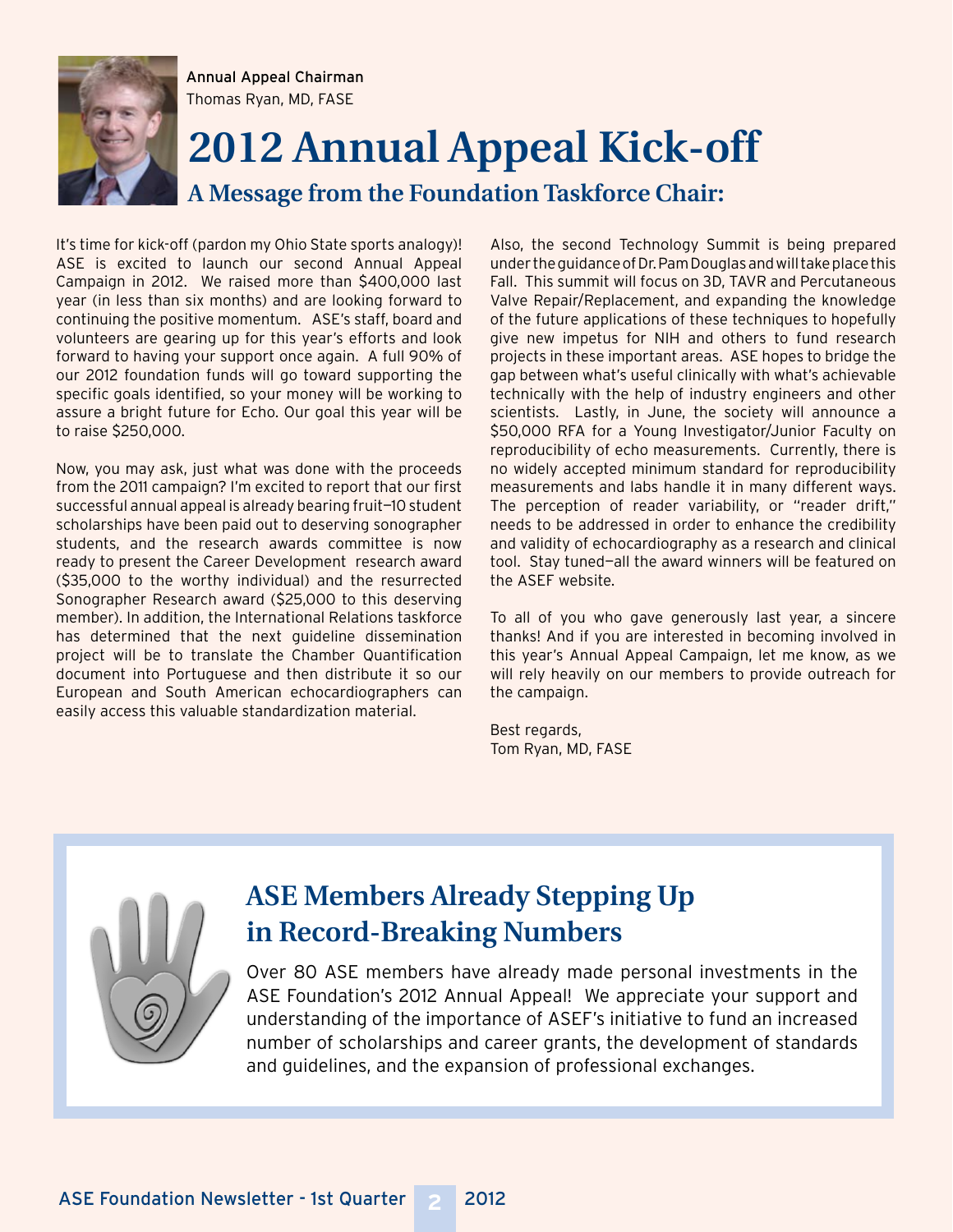

Annual Appeal Chairman Thomas Ryan, MD, FASE

# **2012 Annual Appeal Kick-off**

**A Message from the Foundation Taskforce Chair:**

It's time for kick-off (pardon my Ohio State sports analogy)! ASE is excited to launch our second Annual Appeal Campaign in 2012. We raised more than \$400,000 last year (in less than six months) and are looking forward to continuing the positive momentum. ASE's staff, board and volunteers are gearing up for this year's efforts and look forward to having your support once again. A full 90% of our 2012 foundation funds will go toward supporting the specific goals identified, so your money will be working to assure a bright future for Echo. Our goal this year will be to raise \$250,000.

Now, you may ask, just what was done with the proceeds from the 2011 campaign? I'm excited to report that our first successful annual appeal is already bearing fruit—10 student scholarships have been paid out to deserving sonographer students, and the research awards committee is now ready to present the Career Development research award (\$35,000 to the worthy individual) and the resurrected Sonographer Research award (\$25,000 to this deserving member). In addition, the International Relations taskforce has determined that the next guideline dissemination project will be to translate the Chamber Quantification document into Portuguese and then distribute it so our European and South American echocardiographers can easily access this valuable standardization material.

Also, the second Technology Summit is being prepared under the guidance of Dr. Pam Douglas and will take place this Fall. This summit will focus on 3D, TAVR and Percutaneous Valve Repair/Replacement, and expanding the knowledge of the future applications of these techniques to hopefully give new impetus for NIH and others to fund research projects in these important areas. ASE hopes to bridge the gap between what's useful clinically with what's achievable technically with the help of industry engineers and other scientists. Lastly, in June, the society will announce a \$50,000 RFA for a Young Investigator/Junior Faculty on reproducibility of echo measurements. Currently, there is no widely accepted minimum standard for reproducibility measurements and labs handle it in many different ways. The perception of reader variability, or "reader drift," needs to be addressed in order to enhance the credibility and validity of echocardiography as a research and clinical tool. Stay tuned—all the award winners will be featured on the ASEF website.

To all of you who gave generously last year, a sincere thanks! And if you are interested in becoming involved in this year's Annual Appeal Campaign, let me know, as we will rely heavily on our members to provide outreach for the campaign.

Best regards, Tom Ryan, MD, FASE



## **ASE Members Already Stepping Up in Record-Breaking Numbers**

Over 80 ASE members have already made personal investments in the ASE Foundation's 2012 Annual Appeal! We appreciate your support and understanding of the importance of ASEF's initiative to fund an increased number of scholarships and career grants, the development of standards and guidelines, and the expansion of professional exchanges.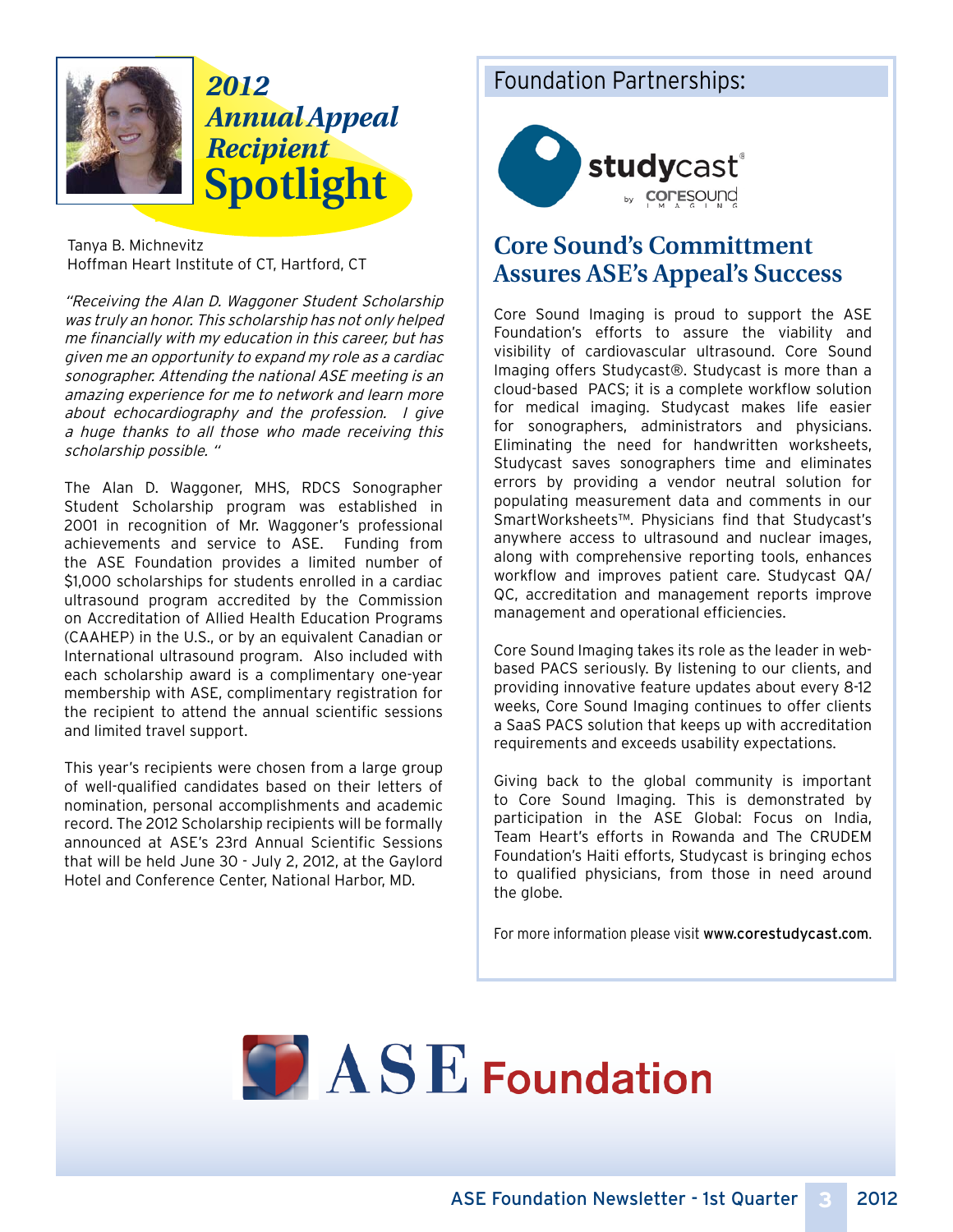

# **Spotlight** *2012 Annual Appeal Recipient*

Tanya B. Michnevitz Hoffman Heart Institute of CT, Hartford, CT

"Receiving the Alan D. Waggoner Student Scholarship was truly an honor. This scholarship has not only helped me financially with my education in this career, but has given me an opportunity to expand my role as a cardiac sonographer. Attending the national ASE meeting is an amazing experience for me to network and learn more about echocardiography and the profession. I give a huge thanks to all those who made receiving this scholarship possible. "

The Alan D. Waggoner, MHS, RDCS Sonographer Student Scholarship program was established in 2001 in recognition of Mr. Waggoner's professional achievements and service to ASE. Funding from the ASE Foundation provides a limited number of \$1,000 scholarships for students enrolled in a cardiac ultrasound program accredited by the Commission on Accreditation of Allied Health Education Programs (CAAHEP) in the U.S., or by an equivalent Canadian or International ultrasound program. Also included with each scholarship award is a complimentary one-year membership with ASE, complimentary registration for the recipient to attend the annual scientific sessions and limited travel support.

This year's recipients were chosen from a large group of well-qualified candidates based on their letters of nomination, personal accomplishments and academic record. The 2012 Scholarship recipients will be formally announced at ASE's 23rd Annual Scientific Sessions that will be held June 30 - July 2, 2012, at the Gaylord Hotel and Conference Center, National Harbor, MD.

### Foundation Partnerships:



## **Core Sound's Committment Assures ASE's Appeal's Success**

Core Sound Imaging is proud to support the ASE Foundation's efforts to assure the viability and visibility of cardiovascular ultrasound. Core Sound Imaging offers Studycast®. Studycast is more than a cloud-based PACS; it is a complete workflow solution for medical imaging. Studycast makes life easier for sonographers, administrators and physicians. Eliminating the need for handwritten worksheets, Studycast saves sonographers time and eliminates errors by providing a vendor neutral solution for populating measurement data and comments in our SmartWorksheets™. Physicians find that Studycast's anywhere access to ultrasound and nuclear images, along with comprehensive reporting tools, enhances workflow and improves patient care. Studycast QA/ QC, accreditation and management reports improve management and operational efficiencies.

Core Sound Imaging takes its role as the leader in webbased PACS seriously. By listening to our clients, and providing innovative feature updates about every 8-12 weeks, Core Sound Imaging continues to offer clients a SaaS PACS solution that keeps up with accreditation requirements and exceeds usability expectations.

Giving back to the global community is important to Core Sound Imaging. This is demonstrated by participation in the ASE Global: Focus on India, Team Heart's efforts in Rowanda and The CRUDEM Foundation's Haiti efforts, Studycast is bringing echos to qualified physicians, from those in need around the globe.

For more information please visit www.corestudycast.com.

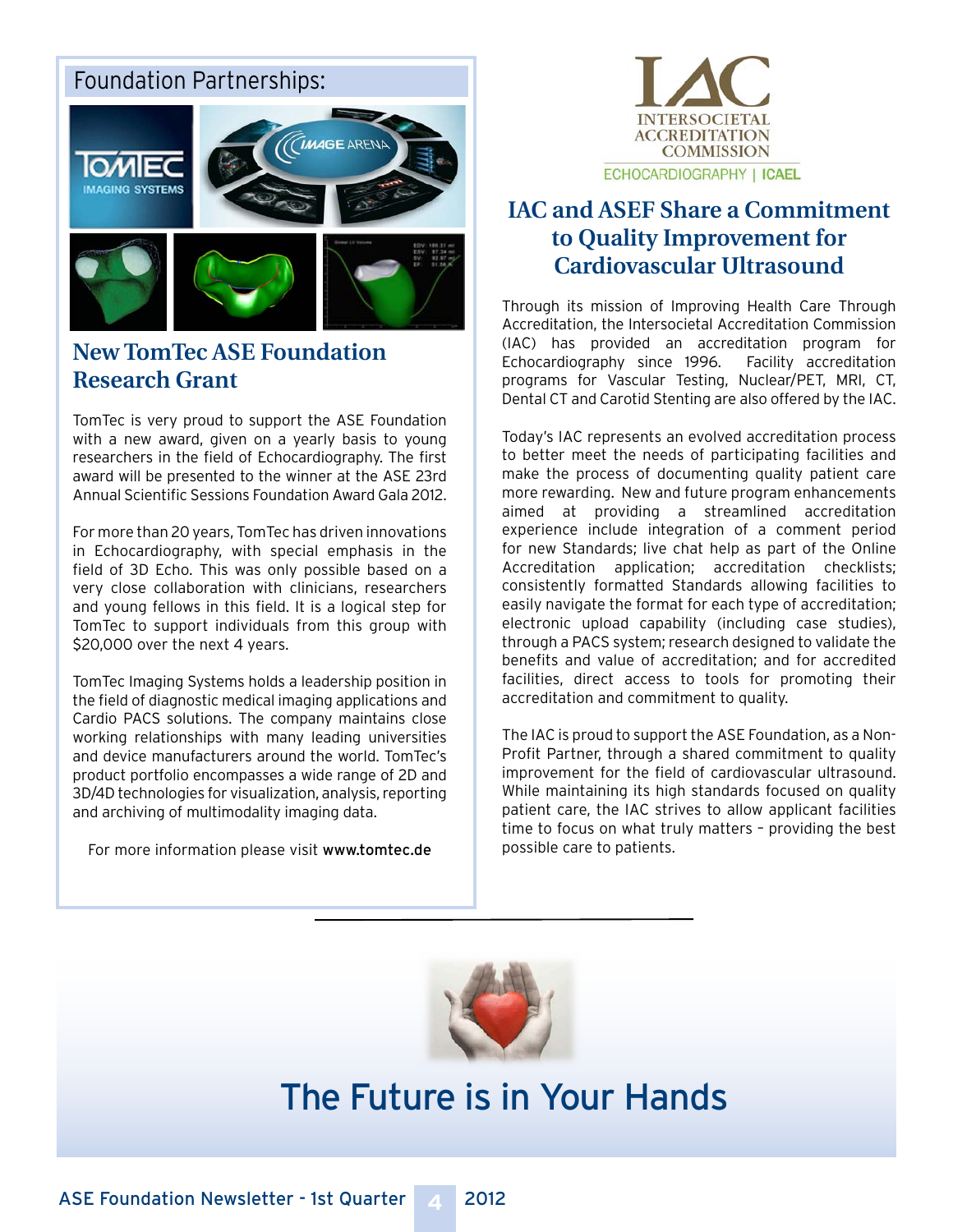### Foundation Partnerships:



### **New TomTec ASE Foundation Research Grant**

TomTec is very proud to support the ASE Foundation with a new award, given on a yearly basis to young researchers in the field of Echocardiography. The first award will be presented to the winner at the ASE 23rd Annual Scientific Sessions Foundation Award Gala 2012.

For more than 20 years, TomTec has driven innovations in Echocardiography, with special emphasis in the field of 3D Echo. This was only possible based on a very close collaboration with clinicians, researchers and young fellows in this field. It is a logical step for TomTec to support individuals from this group with \$20,000 over the next 4 years.

TomTec Imaging Systems holds a leadership position in the field of diagnostic medical imaging applications and Cardio PACS solutions. The company maintains close working relationships with many leading universities and device manufacturers around the world. TomTec's product portfolio encompasses a wide range of 2D and 3D/4D technologies for visualization, analysis, reporting and archiving of multimodality imaging data.

For more information please visit www.tomtec.de



## **IAC and ASEF Share a Commitment to Quality Improvement for Cardiovascular Ultrasound**

Through its mission of Improving Health Care Through Accreditation, the Intersocietal Accreditation Commission (IAC) has provided an accreditation program for Echocardiography since 1996. Facility accreditation programs for Vascular Testing, Nuclear/PET, MRI, CT, Dental CT and Carotid Stenting are also offered by the IAC.

Today's IAC represents an evolved accreditation process to better meet the needs of participating facilities and make the process of documenting quality patient care more rewarding. New and future program enhancements aimed at providing a streamlined accreditation experience include integration of a comment period for new Standards; live chat help as part of the Online Accreditation application; accreditation checklists; consistently formatted Standards allowing facilities to easily navigate the format for each type of accreditation; electronic upload capability (including case studies), through a PACS system; research designed to validate the benefits and value of accreditation; and for accredited facilities, direct access to tools for promoting their accreditation and commitment to quality.

The IAC is proud to support the ASE Foundation, as a Non-Profit Partner, through a shared commitment to quality improvement for the field of cardiovascular ultrasound. While maintaining its high standards focused on quality patient care, the IAC strives to allow applicant facilities time to focus on what truly matters – providing the best possible care to patients.



# The Future is in Your Hands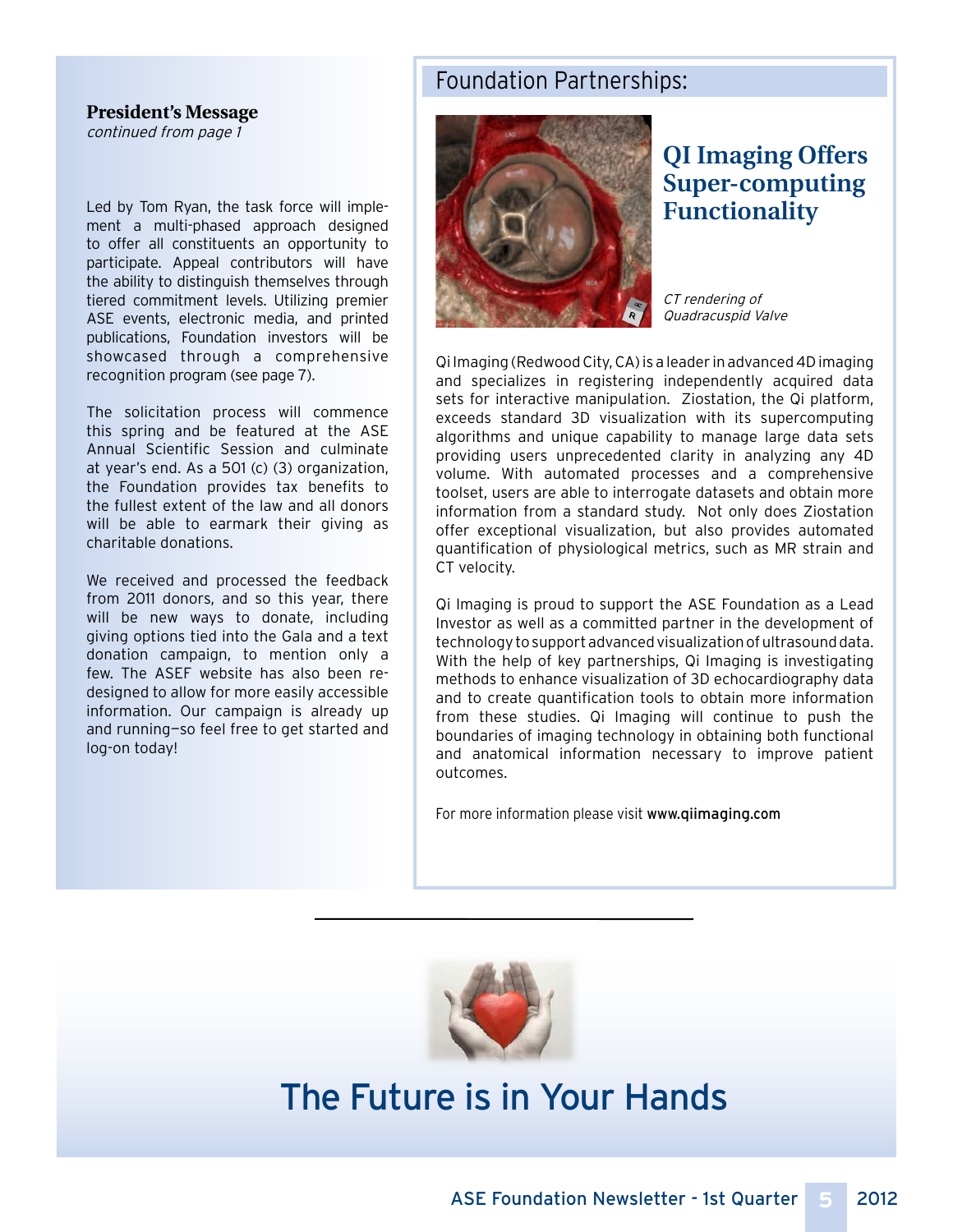#### Foundation Partnerships:

#### **President's Message**

continued from page 1

Led by Tom Ryan, the task force will implement a multi-phased approach designed to offer all constituents an opportunity to participate. Appeal contributors will have the ability to distinguish themselves through tiered commitment levels. Utilizing premier ASE events, electronic media, and printed publications, Foundation investors will be showcased through a comprehensive recognition program (see page 7).

The solicitation process will commence this spring and be featured at the ASE Annual Scientific Session and culminate at year's end. As a 501 (c) (3) organization, the Foundation provides tax benefits to the fullest extent of the law and all donors will be able to earmark their giving as charitable donations.

We received and processed the feedback from 2011 donors, and so this year, there will be new ways to donate, including giving options tied into the Gala and a text donation campaign, to mention only a few. The ASEF website has also been redesigned to allow for more easily accessible information. Our campaign is already up and running—so feel free to get started and log-on today!



## **QI Imaging Offers Super-computing Functionality**

CT rendering of Quadracuspid Valve

Qi Imaging (Redwood City, CA) is a leader in advanced 4D imaging and specializes in registering independently acquired data sets for interactive manipulation. Ziostation, the Qi platform, exceeds standard 3D visualization with its supercomputing algorithms and unique capability to manage large data sets providing users unprecedented clarity in analyzing any 4D volume. With automated processes and a comprehensive toolset, users are able to interrogate datasets and obtain more information from a standard study. Not only does Ziostation offer exceptional visualization, but also provides automated quantification of physiological metrics, such as MR strain and CT velocity.

Qi Imaging is proud to support the ASE Foundation as a Lead Investor as well as a committed partner in the development of technology to support advanced visualization of ultrasound data. With the help of key partnerships, Qi Imaging is investigating methods to enhance visualization of 3D echocardiography data and to create quantification tools to obtain more information from these studies. Qi Imaging will continue to push the boundaries of imaging technology in obtaining both functional and anatomical information necessary to improve patient outcomes.

For more information please visit www.qiimaging.com



# The Future is in Your Hands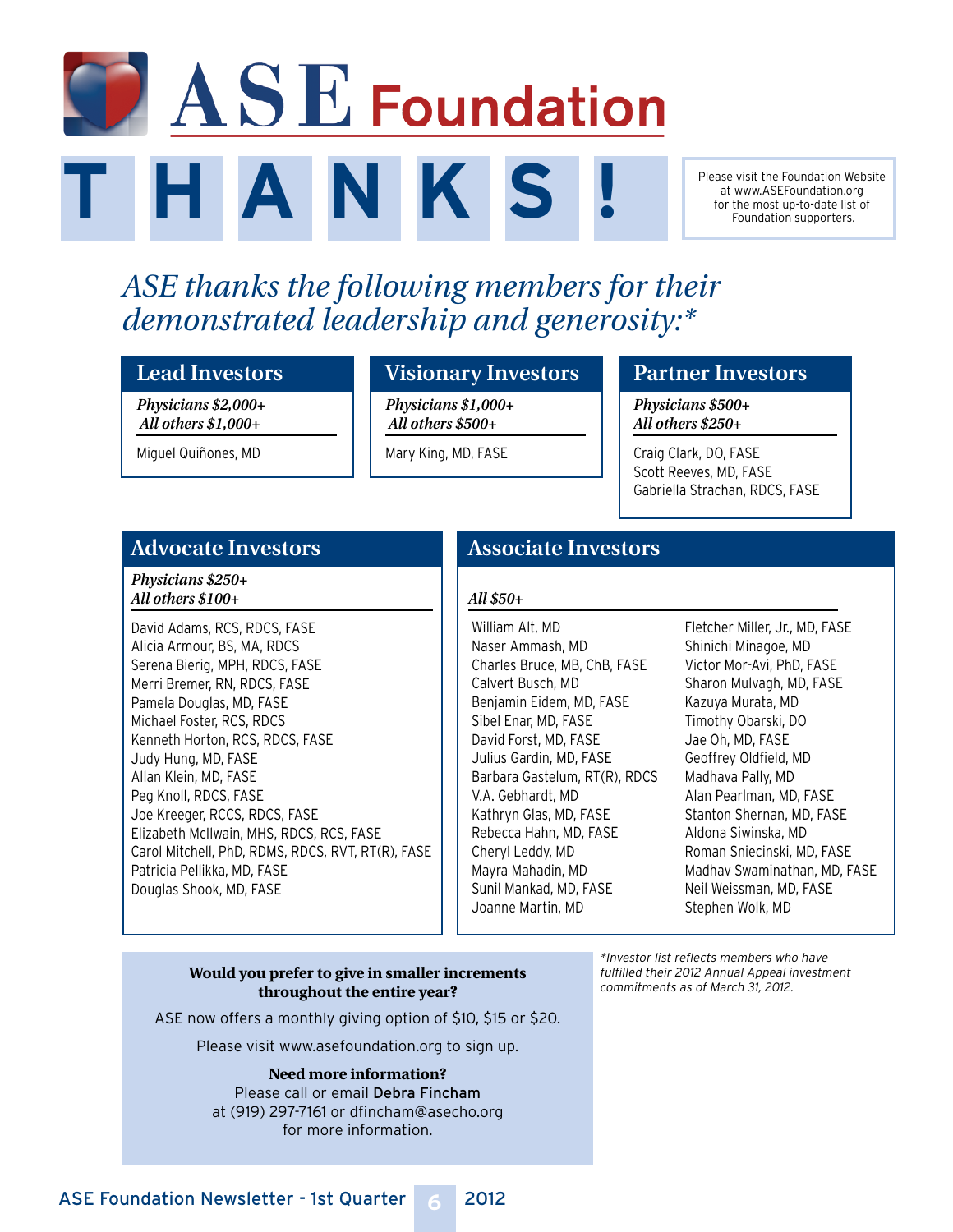# $\blacksquare$   $\blacktriangle$   $\mathbf{S}$   $\mathbf{E}$  Foundation **T H A N K S !**

#### Please visit the Foundation Website at www.ASEFoundation.org for the most up-to-date list of Foundation supporters.

# *ASE thanks the following members for their demonstrated leadership and generosity:\**

#### **Lead Investors**

*Physicians \$2,000+ All others \$1,000+* 

Miguel Quiñones, MD

#### **Visionary Investors**

*Physicians \$1,000+ All others \$500+* 

Mary King, MD, FASE

#### **Partner Investors**

*Physicians \$500+ All others \$250+* 

Craig Clark, DO, FASE Scott Reeves, MD, FASE Gabriella Strachan, RDCS, FASE

#### **Advocate Investors**

*Physicians \$250+ All others \$100+* 

David Adams, RCS, RDCS, FASE Alicia Armour, BS, MA, RDCS Serena Bierig, MPH, RDCS, FASE Merri Bremer, RN, RDCS, FASE Pamela Douglas, MD, FASE Michael Foster, RCS, RDCS Kenneth Horton, RCS, RDCS, FASE Judy Hung, MD, FASE Allan Klein, MD, FASE Peg Knoll, RDCS, FASE Joe Kreeger, RCCS, RDCS, FASE Elizabeth McIlwain, MHS, RDCS, RCS, FASE Carol Mitchell, PhD, RDMS, RDCS, RVT, RT(R), FASE Patricia Pellikka, MD, FASE Douglas Shook, MD, FASE

#### **Associate Investors**

#### *All \$50+*

William Alt, MD Naser Ammash, MD Charles Bruce, MB, ChB, FASE Calvert Busch, MD Benjamin Eidem, MD, FASE Sibel Enar, MD, FASE David Forst, MD, FASE Julius Gardin, MD, FASE Barbara Gastelum, RT(R), RDCS V.A. Gebhardt, MD Kathryn Glas, MD, FASE Rebecca Hahn, MD, FASE Cheryl Leddy, MD Mayra Mahadin, MD Sunil Mankad, MD, FASE Joanne Martin, MD

Fletcher Miller, Jr., MD, FASE Shinichi Minagoe, MD Victor Mor-Avi, PhD, FASE Sharon Mulvagh, MD, FASE Kazuya Murata, MD Timothy Obarski, DO Jae Oh, MD, FASE Geoffrey Oldfield, MD Madhava Pally, MD Alan Pearlman, MD, FASE Stanton Shernan, MD, FASE Aldona Siwinska, MD Roman Sniecinski, MD, FASE Madhav Swaminathan, MD, FASE Neil Weissman, MD, FASE Stephen Wolk, MD

#### **Would you prefer to give in smaller increments throughout the entire year?**

ASE now offers a monthly giving option of \$10, \$15 or \$20.

Please visit www.asefoundation.org to sign up.

**Need more information?** Please call or email Debra Fincham at (919) 297-7161 or dfincham@asecho.org for more information.

\*Investor list reflects members who have fulfilled their 2012 Annual Appeal investment commitments as of March 31, 2012.